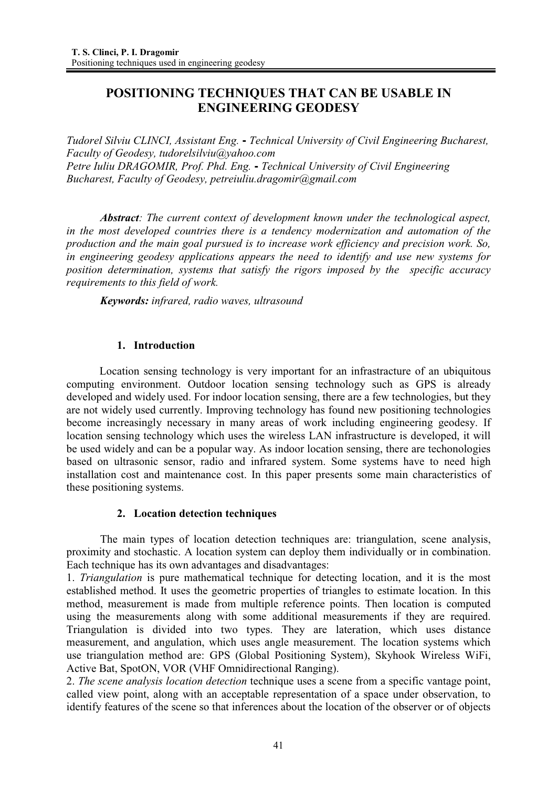# **POSITIONING TECHNIQUES THAT CAN BE USABLE IN ENGINEERING GEODESY**

*Tudorel Silviu CLINCI, Assistant Eng.* **-** *Technical University of Civil Engineering Bucharest, Faculty of Geodesy, tudorelsilviu@yahoo.com Petre Iuliu DRAGOMIR, Prof. Phd. Eng.* **-** *Technical University of Civil Engineering Bucharest, Faculty of Geodesy, petreiuliu.dragomir@gmail.com* 

*Abstract: The current context of development known under the technological aspect, in the most developed countries there is a tendency modernization and automation of the production and the main goal pursued is to increase work efficiency and precision work. So, in engineering geodesy applications appears the need to identify and use new systems for position determination, systems that satisfy the rigors imposed by the specific accuracy requirements to this field of work.* 

*Keywords: infrared, radio waves, ultrasound* 

### **1. Introduction**

Location sensing technology is very important for an infrastracture of an ubiquitous computing environment. Outdoor location sensing technology such as GPS is already developed and widely used. For indoor location sensing, there are a few technologies, but they are not widely used currently. Improving technology has found new positioning technologies become increasingly necessary in many areas of work including engineering geodesy. If location sensing technology which uses the wireless LAN infrastructure is developed, it will be used widely and can be a popular way. As indoor location sensing, there are techonologies based on ultrasonic sensor, radio and infrared system. Some systems have to need high installation cost and maintenance cost. In this paper presents some main characteristics of these positioning systems.

### **2. Location detection techniques**

The main types of location detection techniques are: triangulation, scene analysis, proximity and stochastic. A location system can deploy them individually or in combination. Each technique has its own advantages and disadvantages:

1. *Triangulation* is pure mathematical technique for detecting location, and it is the most established method. It uses the geometric properties of triangles to estimate location. In this method, measurement is made from multiple reference points. Then location is computed using the measurements along with some additional measurements if they are required. Triangulation is divided into two types. They are lateration, which uses distance measurement, and angulation, which uses angle measurement. The location systems which use triangulation method are: GPS (Global Positioning System), Skyhook Wireless WiFi, Active Bat, SpotON, VOR (VHF Omnidirectional Ranging).

2. *The scene analysis location detection* technique uses a scene from a specific vantage point, called view point, along with an acceptable representation of a space under observation, to identify features of the scene so that inferences about the location of the observer or of objects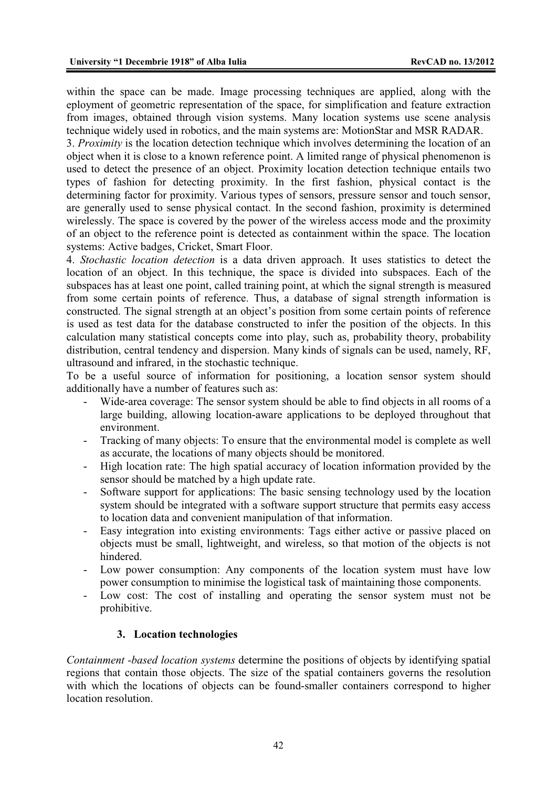within the space can be made. Image processing techniques are applied, along with the eployment of geometric representation of the space, for simplification and feature extraction from images, obtained through vision systems. Many location systems use scene analysis technique widely used in robotics, and the main systems are: MotionStar and MSR RADAR.

3. *Proximity* is the location detection technique which involves determining the location of an object when it is close to a known reference point. A limited range of physical phenomenon is used to detect the presence of an object. Proximity location detection technique entails two types of fashion for detecting proximity. In the first fashion, physical contact is the determining factor for proximity. Various types of sensors, pressure sensor and touch sensor, are generally used to sense physical contact. In the second fashion, proximity is determined wirelessly. The space is covered by the power of the wireless access mode and the proximity of an object to the reference point is detected as containment within the space. The location systems: Active badges, Cricket, Smart Floor.

4. *Stochastic location detection* is a data driven approach. It uses statistics to detect the location of an object. In this technique, the space is divided into subspaces. Each of the subspaces has at least one point, called training point, at which the signal strength is measured from some certain points of reference. Thus, a database of signal strength information is constructed. The signal strength at an object's position from some certain points of reference is used as test data for the database constructed to infer the position of the objects. In this calculation many statistical concepts come into play, such as, probability theory, probability distribution, central tendency and dispersion. Many kinds of signals can be used, namely, RF, ultrasound and infrared, in the stochastic technique.

To be a useful source of information for positioning, a location sensor system should additionally have a number of features such as:

- Wide-area coverage: The sensor system should be able to find objects in all rooms of a large building, allowing location-aware applications to be deployed throughout that environment.
- Tracking of many objects: To ensure that the environmental model is complete as well as accurate, the locations of many objects should be monitored.
- High location rate: The high spatial accuracy of location information provided by the sensor should be matched by a high update rate.
- Software support for applications: The basic sensing technology used by the location system should be integrated with a software support structure that permits easy access to location data and convenient manipulation of that information.
- Easy integration into existing environments: Tags either active or passive placed on objects must be small, lightweight, and wireless, so that motion of the objects is not hindered.
- Low power consumption: Any components of the location system must have low power consumption to minimise the logistical task of maintaining those components.
- Low cost: The cost of installing and operating the sensor system must not be prohibitive.

### **3. Location technologies**

*Containment -based location systems* determine the positions of objects by identifying spatial regions that contain those objects. The size of the spatial containers governs the resolution with which the locations of objects can be found-smaller containers correspond to higher location resolution.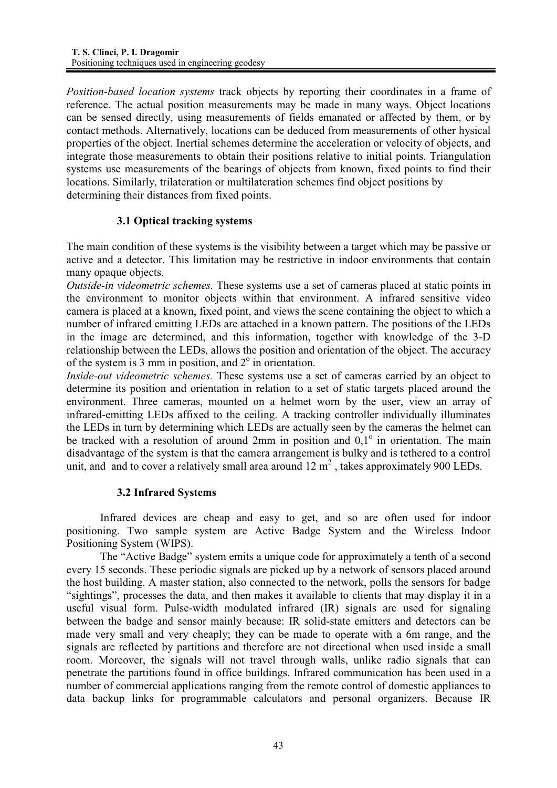*Position-based location systems* track objects by reporting their coordinates in a frame of reference. The actual position measurements may be made in many ways. Object locations can be sensed directly, using measurements of fields emanated or affected by them, or by contact methods. Alternatively, locations can be deduced from measurements of other hysical properties of the object. Inertial schemes determine the acceleration or velocity of objects, and integrate those measurements to obtain their positions relative to initial points. Triangulation systems use measurements of the bearings of objects from known, fixed points to find their locations. Similarly, trilateration or multilateration schemes find object positions by determining their distances from fixed points.

## **3.1 Optical tracking systems**

The main condition of these systems is the visibility between a target which may be passive or active and a detector. This limitation may be restrictive in indoor environments that contain many opaque objects.

*Outside-in videometric schemes.* These systems use a set of cameras placed at static points in the environment to monitor objects within that environment. A infrared sensitive video camera is placed at a known, fixed point, and views the scene containing the object to which a number of infrared emitting LEDs are attached in a known pattern. The positions of the LEDs in the image are determined, and this information, together with knowledge of the 3-D relationship between the LEDs, allows the position and orientation of the object. The accuracy of the system is 3 mm in position, and  $2^{\circ}$  in orientation.

*Inside-out videometric schemes.* These systems use a set of cameras carried by an object to determine its position and orientation in relation to a set of static targets placed around the environment. Three cameras, mounted on a helmet worn by the user, view an array of infrared-emitting LEDs affixed to the ceiling. A tracking controller individually illuminates the LEDs in turn by determining which LEDs are actually seen by the cameras the helmet can be tracked with a resolution of around 2mm in position and  $0,1^{\circ}$  in orientation. The main disadvantage of the system is that the camera arrangement is bulky and is tethered to a control unit, and and to cover a relatively small area around  $12 \text{ m}^2$ , takes approximately 900 LEDs.

### **3.2 Infrared Systems**

Infrared devices are cheap and easy to get, and so are often used for indoor positioning. Two sample system are Active Badge System and the Wireless Indoor Positioning System (WIPS).

The "Active Badge" system emits a unique code for approximately a tenth of a second every 15 seconds. These periodic signals are picked up by a network of sensors placed around the host building. A master station, also connected to the network, polls the sensors for badge "sightings", processes the data, and then makes it available to clients that may display it in a useful visual form. Pulse-width modulated infrared (IR) signals are used for signaling between the badge and sensor mainly because: IR solid-state emitters and detectors can be made very small and very cheaply; they can be made to operate with a 6m range, and the signals are reflected by partitions and therefore are not directional when used inside a small room. Moreover, the signals will not travel through walls, unlike radio signals that can penetrate the partitions found in office buildings. Infrared communication has been used in a number of commercial applications ranging from the remote control of domestic appliances to data backup links for programmable calculators and personal organizers. Because IR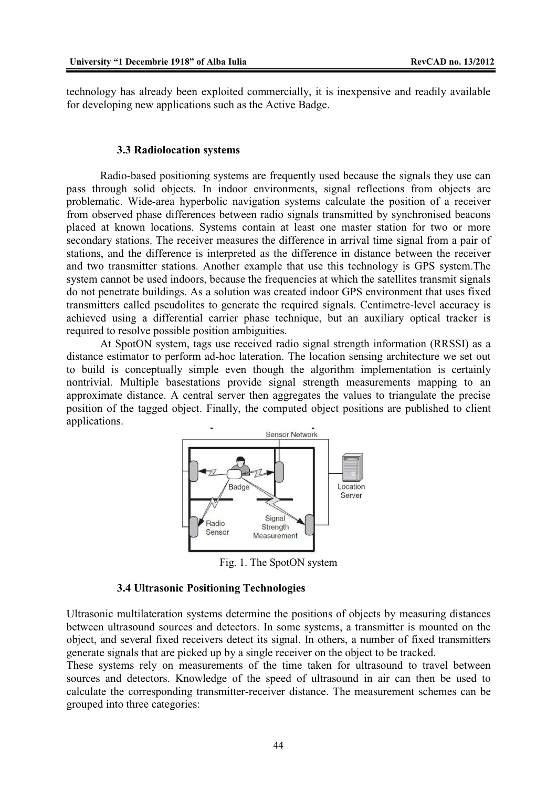technology has already been exploited commercially, it is inexpensive and readily available for developing new applications such as the Active Badge.

#### **3.3 Radiolocation systems**

Radio-based positioning systems are frequently used because the signals they use can pass through solid objects. In indoor environments, signal reflections from objects are problematic. Wide-area hyperbolic navigation systems calculate the position of a receiver from observed phase differences between radio signals transmitted by synchronised beacons placed at known locations. Systems contain at least one master station for two or more secondary stations. The receiver measures the difference in arrival time signal from a pair of stations, and the difference is interpreted as the difference in distance between the receiver and two transmitter stations. Another example that use this technology is GPS system.The system cannot be used indoors, because the frequencies at which the satellites transmit signals do not penetrate buildings. As a solution was created indoor GPS environment that uses fixed transmitters called pseudolites to generate the required signals. Centimetre-level accuracy is achieved using a differential carrier phase technique, but an auxiliary optical tracker is required to resolve possible position ambiguities.

At SpotON system, tags use received radio signal strength information (RRSSI) as a distance estimator to perform ad-hoc lateration. The location sensing architecture we set out to build is conceptually simple even though the algorithm implementation is certainly nontrivial. Multiple basestations provide signal strength measurements mapping to an approximate distance. A central server then aggregates the values to triangulate the precise position of the tagged object. Finally, the computed object positions are published to client applications.



Fig. 1. The SpotON system

#### **3.4 Ultrasonic Positioning Technologies**

Ultrasonic multilateration systems determine the positions of objects by measuring distances between ultrasound sources and detectors. In some systems, a transmitter is mounted on the object, and several fixed receivers detect its signal. In others, a number of fixed transmitters generate signals that are picked up by a single receiver on the object to be tracked.

These systems rely on measurements of the time taken for ultrasound to travel between sources and detectors. Knowledge of the speed of ultrasound in air can then be used to calculate the corresponding transmitter-receiver distance. The measurement schemes can be grouped into three categories: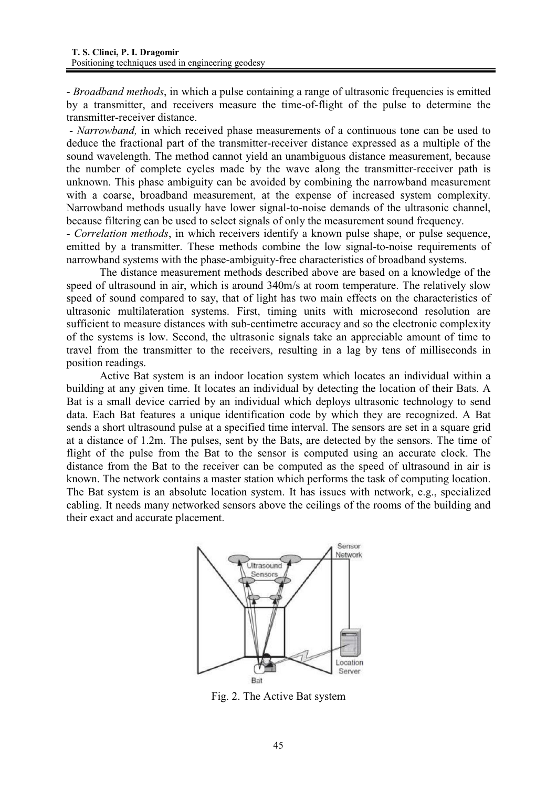- *Broadband methods*, in which a pulse containing a range of ultrasonic frequencies is emitted by a transmitter, and receivers measure the time-of-flight of the pulse to determine the transmitter-receiver distance.

 - *Narrowband,* in which received phase measurements of a continuous tone can be used to deduce the fractional part of the transmitter-receiver distance expressed as a multiple of the sound wavelength. The method cannot yield an unambiguous distance measurement, because the number of complete cycles made by the wave along the transmitter-receiver path is unknown. This phase ambiguity can be avoided by combining the narrowband measurement with a coarse, broadband measurement, at the expense of increased system complexity. Narrowband methods usually have lower signal-to-noise demands of the ultrasonic channel, because filtering can be used to select signals of only the measurement sound frequency.

- *Correlation methods*, in which receivers identify a known pulse shape, or pulse sequence, emitted by a transmitter. These methods combine the low signal-to-noise requirements of narrowband systems with the phase-ambiguity-free characteristics of broadband systems.

The distance measurement methods described above are based on a knowledge of the speed of ultrasound in air, which is around 340m/s at room temperature. The relatively slow speed of sound compared to say, that of light has two main effects on the characteristics of ultrasonic multilateration systems. First, timing units with microsecond resolution are sufficient to measure distances with sub-centimetre accuracy and so the electronic complexity of the systems is low. Second, the ultrasonic signals take an appreciable amount of time to travel from the transmitter to the receivers, resulting in a lag by tens of milliseconds in position readings.

Active Bat system is an indoor location system which locates an individual within a building at any given time. It locates an individual by detecting the location of their Bats. A Bat is a small device carried by an individual which deploys ultrasonic technology to send data. Each Bat features a unique identification code by which they are recognized. A Bat sends a short ultrasound pulse at a specified time interval. The sensors are set in a square grid at a distance of 1.2m. The pulses, sent by the Bats, are detected by the sensors. The time of flight of the pulse from the Bat to the sensor is computed using an accurate clock. The distance from the Bat to the receiver can be computed as the speed of ultrasound in air is known. The network contains a master station which performs the task of computing location. The Bat system is an absolute location system. It has issues with network, e.g., specialized cabling. It needs many networked sensors above the ceilings of the rooms of the building and their exact and accurate placement.



Fig. 2. The Active Bat system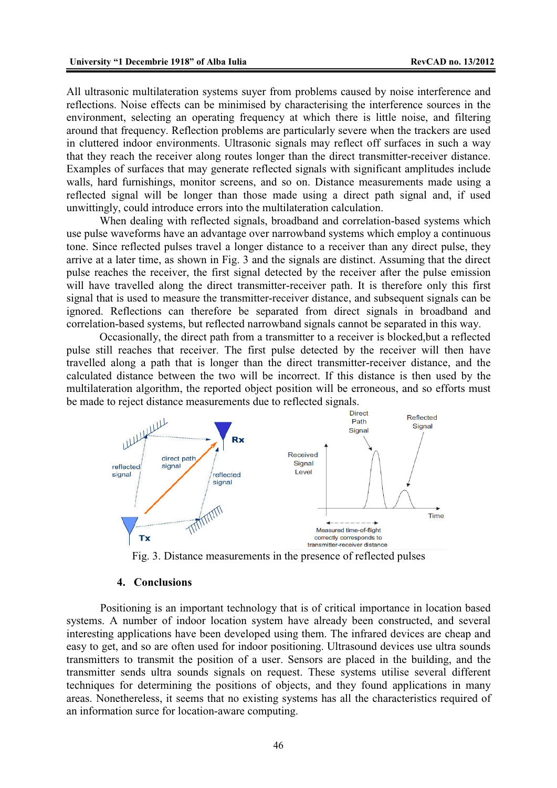All ultrasonic multilateration systems suyer from problems caused by noise interference and reflections. Noise effects can be minimised by characterising the interference sources in the environment, selecting an operating frequency at which there is little noise, and filtering around that frequency. Reflection problems are particularly severe when the trackers are used in cluttered indoor environments. Ultrasonic signals may reflect off surfaces in such a way that they reach the receiver along routes longer than the direct transmitter-receiver distance. Examples of surfaces that may generate reflected signals with significant amplitudes include walls, hard furnishings, monitor screens, and so on. Distance measurements made using a reflected signal will be longer than those made using a direct path signal and, if used unwittingly, could introduce errors into the multilateration calculation.

When dealing with reflected signals, broadband and correlation-based systems which use pulse waveforms have an advantage over narrowband systems which employ a continuous tone. Since reflected pulses travel a longer distance to a receiver than any direct pulse, they arrive at a later time, as shown in Fig. 3 and the signals are distinct. Assuming that the direct pulse reaches the receiver, the first signal detected by the receiver after the pulse emission will have travelled along the direct transmitter-receiver path. It is therefore only this first signal that is used to measure the transmitter-receiver distance, and subsequent signals can be ignored. Reflections can therefore be separated from direct signals in broadband and correlation-based systems, but reflected narrowband signals cannot be separated in this way.

Occasionally, the direct path from a transmitter to a receiver is blocked,but a reflected pulse still reaches that receiver. The first pulse detected by the receiver will then have travelled along a path that is longer than the direct transmitter-receiver distance, and the calculated distance between the two will be incorrect. If this distance is then used by the multilateration algorithm, the reported object position will be erroneous, and so efforts must be made to reject distance measurements due to reflected signals.



Fig. 3. Distance measurements in the presence of reflected pulses

#### **4. Conclusions**

Positioning is an important technology that is of critical importance in location based systems. A number of indoor location system have already been constructed, and several interesting applications have been developed using them. The infrared devices are cheap and easy to get, and so are often used for indoor positioning. Ultrasound devices use ultra sounds transmitters to transmit the position of a user. Sensors are placed in the building, and the transmitter sends ultra sounds signals on request. These systems utilise several different techniques for determining the positions of objects, and they found applications in many areas. Nonethereless, it seems that no existing systems has all the characteristics required of an information surce for location-aware computing.